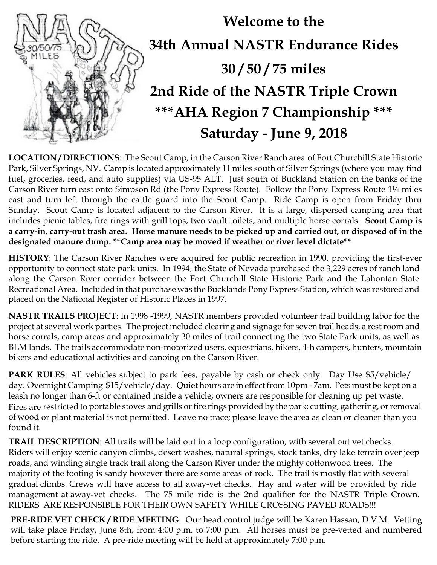

**LOCATION / DIRECTIONS**: The Scout Camp, in the Carson River Ranch area of Fort Churchill State Historic Park, Silver Springs, NV. Camp is located approximately 11 miles south of Silver Springs (where you may find fuel, groceries, feed, and auto supplies) via US-95 ALT. Just south of Buckland Station on the banks of the Carson River turn east onto Simpson Rd (the Pony Express Route). Follow the Pony Express Route 1¼ miles east and turn left through the cattle guard into the Scout Camp. Ride Camp is open from Friday thru Sunday. Scout Camp is located adjacent to the Carson River. It is a large, dispersed camping area that includes picnic tables, fire rings with grill tops, two vault toilets, and multiple horse corrals. **Scout Camp is a carry-in, carry-out trash area. Horse manure needs to be picked up and carried out, or disposed of in the designated manure dump. \*\*Camp area may be moved if weather or river level dictate\*\***

**HISTORY**: The Carson River Ranches were acquired for public recreation in 1990, providing the first-ever opportunity to connect state park units. In 1994, the State of Nevada purchased the 3,229 acres of ranch land along the Carson River corridor between the Fort Churchill State Historic Park and the Lahontan State Recreational Area. Included in that purchase was the Bucklands Pony Express Station, which was restored and placed on the National Register of Historic Places in 1997.

**NASTR TRAILS PROJECT**: In 1998 -1999, NASTR members provided volunteer trail building labor for the project at several work parties. The project included clearing and signage for seven trail heads, a restroom and horse corrals, camp areas and approximately 30 miles of trail connecting the two State Park units, as well as BLM lands. The trails accommodate non-motorized users, equestrians, hikers, 4-h campers, hunters, mountain bikers and educational activities and canoing on the Carson River.

**PARK RULES**: All vehicles subject to park fees, payable by cash or check only. Day Use \$5/vehicle/ day. Overnight Camping \$15/vehicle/day. Quiet hours are in effect from 10pm - 7am. Pets must be kept on a leash no longer than 6-ft or contained inside a vehicle; owners are responsible for cleaning up pet waste. Fires are restricted to portable stoves and grills or fire rings provided by the park; cutting, gathering, or removal of wood or plant material is not permitted. Leave no trace; please leave the area as clean or cleaner than you found it.

**TRAIL DESCRIPTION**: All trails will be laid out in a loop configuration, with several out vet checks. Riders will enjoy scenic canyon climbs, desert washes, natural springs, stock tanks, dry lake terrain over jeep roads, and winding single track trail along the Carson River under the mighty cottonwood trees. The majority of the footing is sandy however there are some areas of rock. The trail is mostly flat with several gradual climbs. Crews will have access to all away-vet checks. Hay and water will be provided by ride management at away-vet checks. The 75 mile ride is the 2nd qualifier for the NASTR Triple Crown. RIDERS ARE RESPONSIBLE FOR THEIR OWN SAFETY WHILE CROSSING PAVED ROADS!!!

**PRE-RIDE VET CHECK / RIDE MEETING**: Our head control judge will be Karen Hassan, D.V.M. Vetting will take place Friday, June 8th, from 4:00 p.m. to 7:00 p.m. All horses must be pre-vetted and numbered before starting the ride. A pre-ride meeting will be held at approximately 7:00 p.m.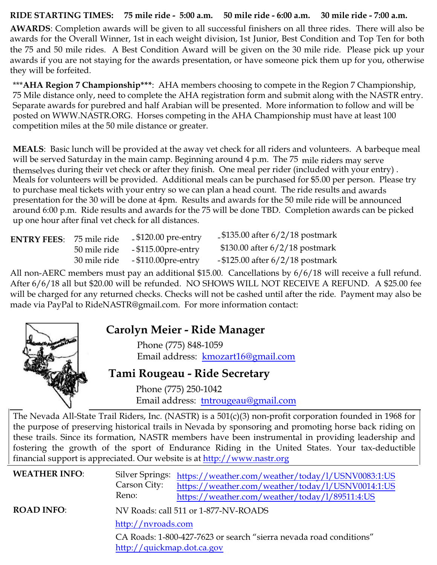#### **RIDE STARTING TIMES: 75 mile ride - 5:00 a.m. 50 mile ride - 6:00 a.m. 30 mile ride - 7:00 a.m.**

**AWARDS**: Completion awards will be given to all successful finishers on all three rides. There will also be awards for the Overall Winner, 1st in each weight division, 1st Junior, Best Condition and Top Ten for both the 75 and 50 mile rides. A Best Condition Award will be given on the 30 mile ride. Please pick up your awards if you are not staying for the awards presentation, or have someone pick them up for you, otherwise they will be forfeited.

\*\*\***AHA Region 7 Championship\*\*\***: AHA members choosing to compete in the Region 7 Championship, 75 Mile distance only, need to complete the AHA registration form and submit along with the NASTR entry. Separate awards for purebred and half Arabian will be presented. More information to follow and will be posted on WWW.NASTR.ORG. Horses competing in the AHA Championship must have at least 100 competition miles at the 50 mile distance or greater.

**MEALS**: Basic lunch will be provided at the away vet check for all riders and volunteers. A barbeque meal will be served Saturday in the main camp. Beginning around 4 p.m. The 75 mile riders may serve themselves during their vet check or after they finish. One meal per rider (included with your entry) . Meals for volunteers will be provided. Additional meals can be purchased for \$5.00 per person. Please try to purchase meal tickets with your entry so we can plan a head count. The ride results and awards presentation for the 30 will be done at 4pm. Results and awards for the 50 mile ride will be announced around 6:00 p.m. Ride results and awards for the 75 will be done TBD. Completion awards can be picked up one hour after final vet check for all distances.

| <b>ENTRY FEES:</b> 75 mile ride |              | $\text{\degree}$ \$120.00 pre-entry | $\text{\degree}5135.00$ after 6/2/18 postmark |
|---------------------------------|--------------|-------------------------------------|-----------------------------------------------|
|                                 | 50 mile ride | $-$ \$115.00 $pre$ -entry           | $$130.00$ after $6/2/18$ postmark             |
|                                 | 30 mile ride | $-$ \$110.00 $pre$ -entry           | $-$ \$125.00 after 6/2/18 postmark            |

All non-AERC members must pay an additional \$15.00. Cancellations by 6/6/18 will receive a full refund. After 6/6/18 all but \$20.00 will be refunded. NO SHOWS WILL NOT RECEIVE A REFUND. A \$25.00 fee will be charged for any returned checks. Checks will not be cashed until after the ride. Payment may also be made via PayPal to RideNASTR@gmail.com. For more information contact:



# **Carolyn Meier - Ride Manager**

Phone (775) 848-1059 Email address: [kmozart16@gmail.com](mailto:kmozart16@gmail.com)

## **Tami Rougeau - Ride Secretary**

Phone (775) 250-1042 Email address: [tntrougeau@gmail.com](mailto:tntrougeau@gmail.com)

The Nevada All-State Trail Riders, Inc. (NASTR) is a 501(c)(3) non-profit corporation founded in 1968 for the purpose of preserving historical trails in Nevada by sponsoring and promoting horse back riding on these trails. Since its formation, NASTR members have been instrumental in providing leadership and fostering the growth of the sport of [Endurance Riding in the United States. Your tax-deductibl](https://weather.com/weather/today/l/USNV0014:1:US)e financial support is appreciated. [Our website is at](https://weather.com/weather/today/l/89511:4:US) [http://www.nastr.org](http://www.nastr.org/)

| <b>WEATHER INFO:</b> | Carson City:<br>Reno:                            | Silver Springs: https://weather.com/weather/today/1/USNV0083:1:US<br>https://weather.com/weather/today/l/USNV0014:1:US<br>https://weather.com/weather/today/1/89511:4:US |
|----------------------|--------------------------------------------------|--------------------------------------------------------------------------------------------------------------------------------------------------------------------------|
| <b>ROAD INFO:</b>    | http://nvroads.com<br>http://quickmap.dot.ca.gov | NV Roads: call 511 or 1-877-NV-ROADS<br>CA Roads: 1-800-427-7623 or search "sierra nevada road conditions"                                                               |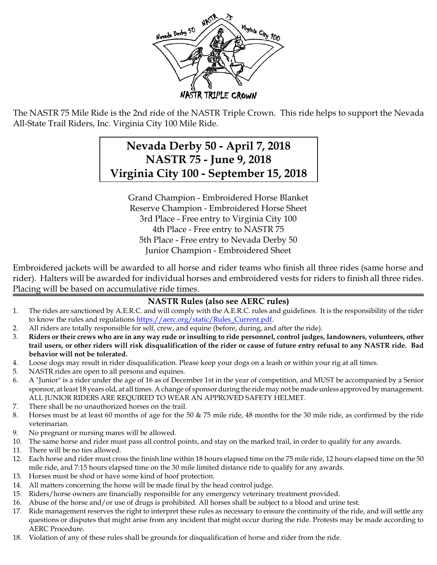

The NASTR 75 Mile Ride is the 2nd ride of the NASTR Triple Crown. This ride helps to support the Nevada All-State Trail Riders, Inc. Virginia City 100 Mile Ride.

# **Nevada Derby 50 - April 7, 2018 NASTR 75 - June 9, 2018 Virginia City 100 - September 15, 2018**

Grand Champion - Embroidered Horse Blanket Reserve Champion - Embroidered Horse Sheet 3rd Place - Free entry to Virginia City 100 4th Place - Free entry to NASTR 75 5th Place - Free entry to Nevada Derby 50 Junior Champion - Embroidered Sheet

Embroidered jackets will be awarded to all horse and rider teams who finish all three rides (same horse and rider). Halters will be awarded for individual horses and embroidered vests for riders to finish all three rides. Placing will be based on accumulative ride times.

#### **NASTR Rules (also see AERC rules)**

- 1. The rides are sanctioned by A.E.R.C. and will comply with the A.E.R.C. rules and guidelines. It is the responsibility of the rider to know the rules and regulations [https://aerc.org/static/Rules\\_Current.pdf](https://aerc.org/static/Rules_Current.pdf).
- 2. All riders are totally responsible for self, crew, and equine (before, during, and after the ride).
- 3. **Riders or their crews who are in any way rude or insulting to ride personnel, control judges, landowners, volunteers, other trail users, or other riders will risk disqualification of the rider or cause of future entry refusal to any NASTR ride. Bad behavior will not be tolerated.**
- 4. Loose dogs may result in rider disqualification. Please keep your dogs on a leash or within your rig at all times.
- 5. NASTR rides are open to all persons and equines.
- 6. A "Junior" is a rider under the age of 16 as of December 1st in the year of competition, and MUST be accompanied by a Senior sponsor, at least 18 years old, at all times. A change of sponsor during the ride may not be made unless approved by management. ALL JUNIOR RIDERS ARE REQUIRED TO WEAR AN APPROVED SAFETY HELMET.
- 7. There shall be no unauthorized horses on the trail.
- 8. Horses must be at least 60 months of age for the 50 & 75 mile ride, 48 months for the 30 mile ride, as confirmed by the ride veterinarian.
- 9. No pregnant or nursing mares will be allowed.
- 10. The same horse and rider must pass all control points, and stay on the marked trail, in order to qualify for any awards.
- 11. There will be no ties allowed.
- 12. Each horse and rider must cross the finish line within 18 hours elapsed time on the 75 mile ride, 12 hours elapsed time on the 50 mile ride, and 7:15 hours elapsed time on the 30 mile limited distance ride to qualify for any awards.
- 13. Horses must be shod or have some kind of hoof protection.
- 14. All matters concerning the horse will be made final by the head control judge.
- 15. Riders/horse owners are financially responsible for any emergency veterinary treatment provided.
- 16. Abuse of the horse and/or use of drugs is prohibited. All horses shall be subject to a blood and urine test.
- 17. Ride management reserves the right to interpret these rules as necessary to ensure the continuity of the ride, and will settle any questions or disputes that might arise from any incident that might occur during the ride. Protests may be made according to AERC Procedure.
- 18. Violation of any of these rules shall be grounds for disqualification of horse and rider from the ride.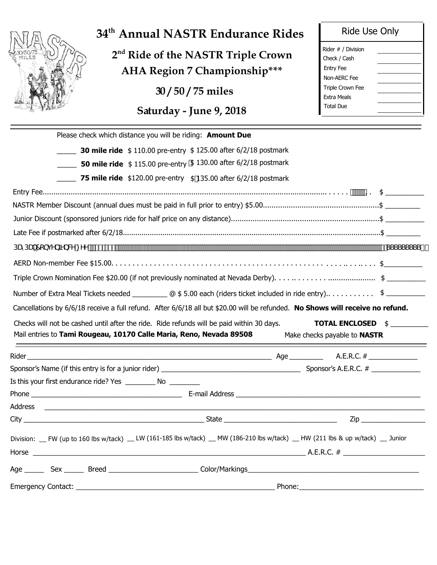

# **34th Annual NASTR Endurance Rides**

 **2nd Ride of the NASTR Triple Crown AHA Region 7 Championship\*\*\***

**30 / 50 / 75 miles**

**Saturday - June 9, 2018**

| Rider # / Division      |  |
|-------------------------|--|
| Check / Cash            |  |
| Entry Fee               |  |
| Non-AFRC Fee            |  |
| <b>Triple Crown Fee</b> |  |
| <b>Fxtra Meals</b>      |  |
| <b>Total Due</b>        |  |
|                         |  |

| Please check which distance you will be riding: Amount Due                                                                                                                                         |                                     |
|----------------------------------------------------------------------------------------------------------------------------------------------------------------------------------------------------|-------------------------------------|
| <b>30 mile ride</b> \$110.00 pre-entry \$125.00 after 6/2/18 postmark                                                                                                                              |                                     |
| <b>50 mile ride</b> \$115.00 pre-entry \$130.00 after 6/2/18 postmark                                                                                                                              |                                     |
| <b>75 mile ride</b> $$120.00$ pre-entry $$135.00$ after $6/2/18$ postmark                                                                                                                          |                                     |
|                                                                                                                                                                                                    |                                     |
|                                                                                                                                                                                                    |                                     |
|                                                                                                                                                                                                    |                                     |
|                                                                                                                                                                                                    |                                     |
|                                                                                                                                                                                                    |                                     |
|                                                                                                                                                                                                    |                                     |
|                                                                                                                                                                                                    |                                     |
| Number of Extra Meal Tickets needed _____________ @ \$5.00 each (riders ticket included in ride entry) \$___________                                                                               |                                     |
| Cancellations by 6/6/18 receive a full refund. After 6/6/18 all but \$20.00 will be refunded. No Shows will receive no refund.                                                                     |                                     |
|                                                                                                                                                                                                    |                                     |
|                                                                                                                                                                                                    |                                     |
| Checks will not be cashed until after the ride. Ride refunds will be paid within 30 days.                                                                                                          |                                     |
| Mail entries to Tami Rougeau, 10170 Calle Maria, Reno, Nevada 89508                                                                                                                                | Make checks payable to <b>NASTR</b> |
|                                                                                                                                                                                                    |                                     |
|                                                                                                                                                                                                    | <b>TOTAL ENCLOSED \$</b>            |
|                                                                                                                                                                                                    |                                     |
|                                                                                                                                                                                                    |                                     |
|                                                                                                                                                                                                    |                                     |
|                                                                                                                                                                                                    | Zip _________________________       |
|                                                                                                                                                                                                    |                                     |
|                                                                                                                                                                                                    |                                     |
| Is this your first endurance ride? Yes _____________ No ___________<br>Division: FW (up to 160 lbs w/tack) _ LW (161-185 lbs w/tack) _ MW (186-210 lbs w/tack) _ HW (211 lbs & up w/tack) _ Junior |                                     |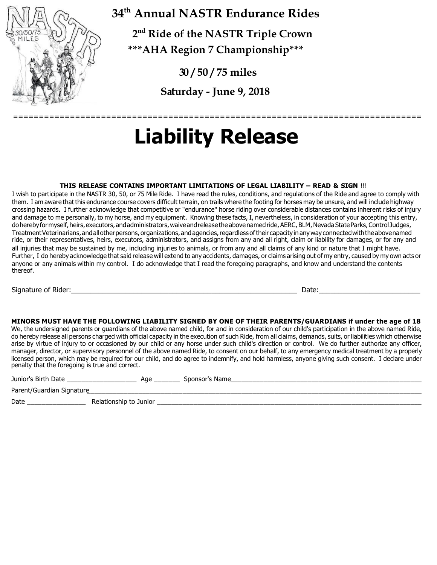

**34th Annual NASTR Endurance Rides**

 **2nd Ride of the NASTR Triple Crown**

**\*\*\*AHA Region 7 Championship\*\*\***

**30 / 50 / 75 miles**

**Saturday - June 9, 2018**

# **Liability Release**

#### **THIS RELEASE CONTAINS IMPORTANT LIMITATIONS OF LEGAL LIABILITY – READ & SIGN** !!!

I wish to participate in the NASTR 30, 50, or 75 Mile Ride. I have read the rules, conditions, and regulations of the Ride and agree to comply with them. I am aware that this endurance course covers difficult terrain, on trails where the footing for horses may be unsure, and will include highway crossing hazards. I further acknowledge that competitive or "endurance" horse riding over considerable distances contains inherent risks of injury and damage to me personally, to my horse, and my equipment. Knowing these facts, I, nevertheless, in consideration of your accepting this entry, do hereby for myself, heirs, executors, and administrators, waive and release the above named ride, AERC, BLM, Nevada State Parks, Control Judges, Treatment Veterinarians, and all other persons, organizations, and agencies, regardless of their capacity in any way connected with the above named ride, or their representatives, heirs, executors, administrators, and assigns from any and all right, claim or liability for damages, or for any and all injuries that may be sustained by me, including injuries to animals, or from any and all claims of any kind or nature that I might have. Further, I do hereby acknowledge that said release will extend to any accidents, damages, or claims arising out of my entry, caused by my own acts or anyone or any animals within my control. I do acknowledge that I read the foregoing paragraphs, and know and understand the contents thereof.

Signature of Rider:\_\_\_\_\_\_\_\_\_\_\_\_\_\_\_\_\_\_\_\_\_\_\_\_\_\_\_\_\_\_\_\_\_\_\_\_\_\_\_\_\_\_\_\_\_\_\_\_\_\_\_\_\_\_\_\_\_\_ Date:\_\_\_\_\_\_\_\_\_\_\_\_\_\_\_\_\_\_\_\_\_\_\_\_\_\_

===============================================================================

#### **MINORS MUST HAVE THE FOLLOWING LIABILITY SIGNED BY ONE OF THEIR PARENTS/GUARDIANS if under the age of 18**

We, the undersigned parents or guardians of the above named child, for and in consideration of our child's participation in the above named Ride, do hereby release all persons charged with official capacity in the execution of such Ride, from all claims, demands, suits, or liabilities which otherwise arise by virtue of injury to or occasioned by our child or any horse under such child's direction or control. We do further authorize any officer, manager, director, or supervisory personnel of the above named Ride, to consent on our behalf, to any emergency medical treatment by a properly licensed person, which may be required for our child, and do agree to indemnify, and hold harmless, anyone giving such consent. I declare under penalty that the foregoing is true and correct.

| Junior's Birth Date       | AGE                       | √n∩ns∩r |
|---------------------------|---------------------------|---------|
| Parent/Guardian Signature |                           |         |
| Date                      | Relationshin to<br>Junior |         |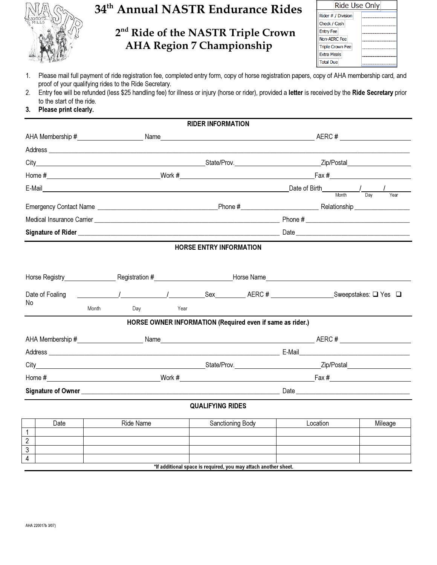

# **34th Annual NASTR Endurance Rides**

### **2nd Ride of the NASTR Triple Crown AHA Region 7 Championship**

| Ride Use Only           |  |  |  |  |
|-------------------------|--|--|--|--|
| Rider # / Division      |  |  |  |  |
| Check / Cash            |  |  |  |  |
| <b>Entry Fee</b>        |  |  |  |  |
| Non-AERC Fee            |  |  |  |  |
| <b>Triple Crown Fee</b> |  |  |  |  |
| <b>Extra Meals</b>      |  |  |  |  |
| <b>Total Due</b>        |  |  |  |  |

- 1. Please mail full payment of ride registration fee, completed entry form, copy of horse registration papers, copy of AHA membership card, and proof of your qualifying rides to the Ride Secretary.
- 2. Entry fee will be refunded (less \$25 handling fee) for illness or injury (horse or rider), provided a letter is received by the Ride Secretary prior to the start of the ride.
- 3. Please print clearly.

|                 |       |           |  |      |                                                                                                           |                                                           | Dav                                                                                                                                                                                                                                                 |
|-----------------|-------|-----------|--|------|-----------------------------------------------------------------------------------------------------------|-----------------------------------------------------------|-----------------------------------------------------------------------------------------------------------------------------------------------------------------------------------------------------------------------------------------------------|
|                 |       |           |  |      |                                                                                                           |                                                           | Year                                                                                                                                                                                                                                                |
|                 |       |           |  |      |                                                                                                           |                                                           |                                                                                                                                                                                                                                                     |
|                 |       |           |  |      |                                                                                                           |                                                           |                                                                                                                                                                                                                                                     |
|                 |       |           |  |      |                                                                                                           |                                                           |                                                                                                                                                                                                                                                     |
|                 |       |           |  |      |                                                                                                           |                                                           |                                                                                                                                                                                                                                                     |
|                 |       |           |  |      |                                                                                                           |                                                           |                                                                                                                                                                                                                                                     |
| Date of Foaling |       |           |  |      |                                                                                                           |                                                           |                                                                                                                                                                                                                                                     |
| No              | Month | Day       |  |      |                                                                                                           |                                                           |                                                                                                                                                                                                                                                     |
|                 |       |           |  |      |                                                                                                           |                                                           |                                                                                                                                                                                                                                                     |
|                 |       |           |  |      |                                                                                                           |                                                           |                                                                                                                                                                                                                                                     |
|                 |       |           |  |      |                                                                                                           |                                                           |                                                                                                                                                                                                                                                     |
|                 |       |           |  |      |                                                                                                           |                                                           |                                                                                                                                                                                                                                                     |
|                 |       |           |  |      |                                                                                                           |                                                           |                                                                                                                                                                                                                                                     |
|                 |       |           |  |      |                                                                                                           |                                                           |                                                                                                                                                                                                                                                     |
|                 |       |           |  |      |                                                                                                           |                                                           |                                                                                                                                                                                                                                                     |
| Date            |       | Ride Name |  |      |                                                                                                           |                                                           | Mileage                                                                                                                                                                                                                                             |
|                 |       |           |  |      |                                                                                                           |                                                           |                                                                                                                                                                                                                                                     |
|                 |       |           |  |      |                                                                                                           |                                                           |                                                                                                                                                                                                                                                     |
|                 |       |           |  |      |                                                                                                           |                                                           |                                                                                                                                                                                                                                                     |
|                 |       |           |  | Year | <b>RIDER INFORMATION</b><br><b>HORSE ENTRY INFORMATION</b><br><b>QUALIFYING RIDES</b><br>Sanctioning Body | HORSE OWNER INFORMATION (Required even if same as rider.) | E-Mail Date of Birth 2014 Contact 2014 Contact 2014 Contact 2014 Contact 2014 Contact 2014 Contact 2014 Contact 2014 Contact 2014 Contact 2014 Contact 2014 Contact 2014 Contact 2014 Contact 2014 Contact 2014 Contact 2014 C<br>Month<br>Location |